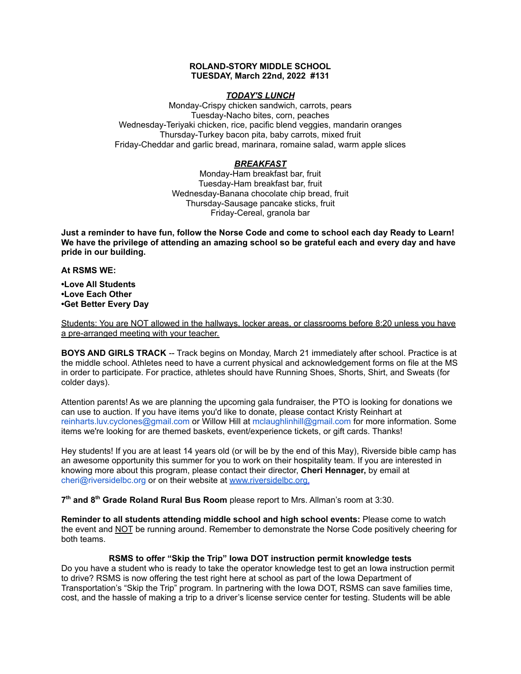## **ROLAND-STORY MIDDLE SCHOOL TUESDAY, March 22nd, 2022 #131**

## *TODAY'S LUNCH*

Monday-Crispy chicken sandwich, carrots, pears Tuesday-Nacho bites, corn, peaches Wednesday-Teriyaki chicken, rice, pacific blend veggies, mandarin oranges Thursday-Turkey bacon pita, baby carrots, mixed fruit Friday-Cheddar and garlic bread, marinara, romaine salad, warm apple slices

# *BREAKFAST*

Monday-Ham breakfast bar, fruit Tuesday-Ham breakfast bar, fruit Wednesday-Banana chocolate chip bread, fruit Thursday-Sausage pancake sticks, fruit Friday-Cereal, granola bar

Just a reminder to have fun, follow the Norse Code and come to school each day Ready to Learn! **We have the privilege of attending an amazing school so be grateful each and every day and have pride in our building.**

### **At RSMS WE:**

**•Love All Students •Love Each Other •Get Better Every Day**

Students: You are NOT allowed in the hallways, locker areas, or classrooms before 8:20 unless you have a pre-arranged meeting with your teacher.

**BOYS AND GIRLS TRACK** -- Track begins on Monday, March 21 immediately after school. Practice is at the middle school. Athletes need to have a current physical and acknowledgement forms on file at the MS in order to participate. For practice, athletes should have Running Shoes, Shorts, Shirt, and Sweats (for colder days).

Attention parents! As we are planning the upcoming gala fundraiser, the PTO is looking for donations we can use to auction. If you have items you'd like to donate, please contact Kristy Reinhart at reinharts.luv.cyclones@gmail.com or Willow Hill at mclaughlinhill@gmail.com for more information. Some items we're looking for are themed baskets, event/experience tickets, or gift cards. Thanks!

Hey students! If you are at least 14 years old (or will be by the end of this May), Riverside bible camp has an awesome opportunity this summer for you to work on their hospitality team. If you are interested in knowing more about this program, please contact their director, **Cheri Hennager,** by email at cheri@riversidelbc.org or on their website at [www.riversidelbc.org.](http://www.riversidelbc.org/)

**7 th and 8 th Grade Roland Rural Bus Room** please report to Mrs. Allman's room at 3:30.

**Reminder to all students attending middle school and high school events:** Please come to watch the event and NOT be running around. Remember to demonstrate the Norse Code positively cheering for both teams.

# **RSMS to offer "Skip the Trip" Iowa DOT instruction permit knowledge tests**

Do you have a student who is ready to take the operator knowledge test to get an Iowa instruction permit to drive? RSMS is now offering the test right here at school as part of the Iowa Department of Transportation's "Skip the Trip" program. In partnering with the Iowa DOT, RSMS can save families time, cost, and the hassle of making a trip to a driver's license service center for testing. Students will be able